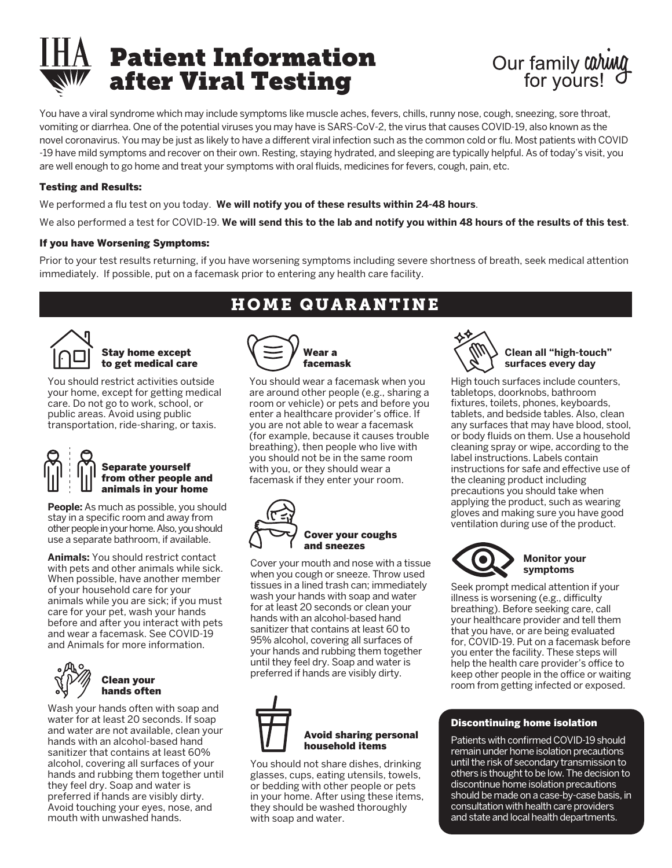



You have a viral syndrome which may include symptoms like muscle aches, fevers, chills, runny nose, cough, sneezing, sore throat, vomiting or diarrhea. One of the potential viruses you may have is SARS-CoV-2, the virus that causes COVID-19, also known as the novel coronavirus. You may be just as likely to have a different viral infection such as the common cold or flu. Most patients with COVID -19 have mild symptoms and recover on their own. Resting, staying hydrated, and sleeping are typically helpful. As of today's visit, you are well enough to go home and treat your symptoms with oral fluids, medicines for fevers, cough, pain, etc.

### Testing and Results:

We performed a flu test on you today. We will notify you of these results within 24-48 hours.

We also performed a test for COVID-19. **We will send this to the lab and notify you within 48 hours of the results of this test**.

### If you have Worsening Symptoms:

Prior to your test results returning, if you have worsening symptoms including severe shortness of breath, seek medical attention immediately. If possible, put on a facemask prior to entering any health care facility.



#### Stay home except to get medical care

You should restrict activities outside your home, except for getting medical care. Do not go to work, school, or public areas. Avoid using public transportation, ride-sharing, or taxis.

# Separate yourself from other people and animals in your home

**People:** As much as possible, you should stay in a specific room and away from other people in your home. Also, you should use a separate bathroom, if available.

**Animals:** You should restrict contact with pets and other animals while sick. When possible, have another member of your household care for your animals while you are sick; if you must care for your pet, wash your hands before and after you interact with pets and wear a facemask. See COVID-19 and Animals for more information.



Wash your hands often with soap and water for at least 20 seconds. If soap and water are not available, clean your hands with an alcohol-based hand sanitizer that contains at least 60% alcohol, covering all surfaces of your hands and rubbing them together until they feel dry. Soap and water is preferred if hands are visibly dirty. Avoid touching your eyes, nose, and mouth with unwashed hands.

# HOME QUARANTINE



You should wear a facemask when you are around other people (e.g., sharing a room or vehicle) or pets and before you enter a healthcare provider's office. If you are not able to wear a facemask (for example, because it causes trouble breathing), then people who live with you should not be in the same room with you, or they should wear a facemask if they enter your room.



Cover your mouth and nose with a tissue when you cough or sneeze. Throw used tissues in a lined trash can; immediately wash your hands with soap and water for at least 20 seconds or clean your hands with an alcohol-based hand sanitizer that contains at least 60 to 95% alcohol, covering all surfaces of your hands and rubbing them together until they feel dry. Soap and water is preferred if hands are visibly dirty.



You should not share dishes, drinking glasses, cups, eating utensils, towels, or bedding with other people or pets in your home. After using these items, they should be washed thoroughly with soap and water.



## **Clean all "high-touch" surfaces every day**

High touch surfaces include counters, tabletops, doorknobs, bathroom fixtures, toilets, phones, keyboards, tablets, and bedside tables. Also, clean any surfaces that may have blood, stool, or body fluids on them. Use a household cleaning spray or wipe, according to the label instructions. Labels contain instructions for safe and effective use of the cleaning product including precautions you should take when applying the product, such as wearing gloves and making sure you have good ventilation during use of the product.



 **symptoms**  Seek prompt medical attention if your

illness is worsening (e.g., difficulty breathing). Before seeking care, call your healthcare provider and tell them that you have, or are being evaluated for, COVID-19. Put on a facemask before you enter the facility. These steps will help the health care provider's office to keep other people in the office or waiting room from getting infected or exposed.

### Discontinuing home isolation

Patients with confirmed COVID-19 should remain under home isolation precautions until the risk of secondary transmission to others is thought to be low. The decision to discontinue home isolation precautions should be made on a case-by-case basis, in consultation with health care providers and state and local health departments.